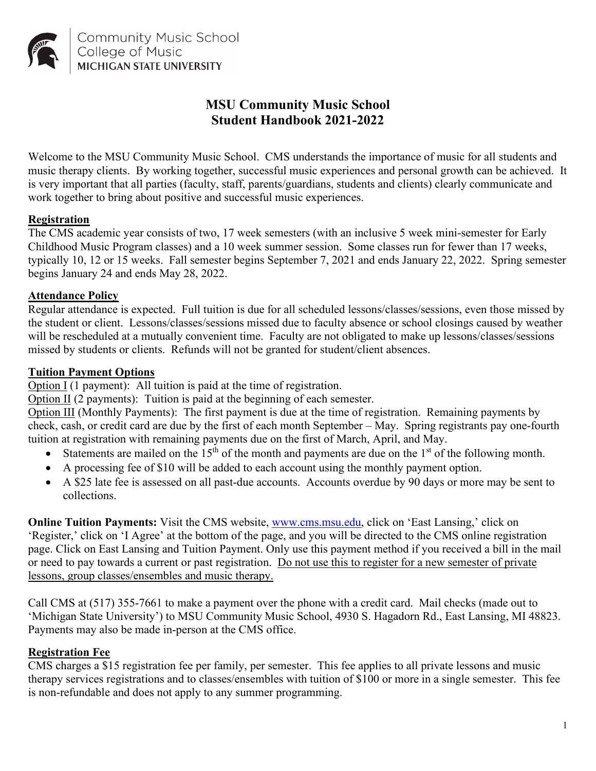

# **MSU Community Music School Student Handbook 2021-2022**

Welcome to the MSU Community Music School. CMS understands the importance of music for all students and music therapy clients. By working together, successful music experiences and personal growth can be achieved. It is very important that all parties (faculty, staff, parents/guardians, students and clients) clearly communicate and work together to bring about positive and successful music experiences.

#### **Registration**

The CMS academic year consists of two, 17 week semesters (with an inclusive 5 week mini-semester for Early Childhood Music Program classes) and a 10 week summer session. Some classes run for fewer than 17 weeks, typically 10, 12 or 15 weeks. Fall semester begins September 7, 2021 and ends January 22, 2022. Spring semester begins January 24 and ends May 28, 2022.

#### **Attendance Policy**

Regular attendance is expected. Full tuition is due for all scheduled lessons/classes/sessions, even those missed by the student or client. Lessons/classes/sessions missed due to faculty absence or school closings caused by weather will be rescheduled at a mutually convenient time. Faculty are not obligated to make up lessons/classes/sessions missed by students or clients. Refunds will not be granted for student/client absences.

#### **Tuition Payment Options**

Option I (1 payment): All tuition is paid at the time of registration.

Option II (2 payments): Tuition is paid at the beginning of each semester.

Option III (Monthly Payments): The first payment is due at the time of registration. Remaining payments by check, cash, or credit card are due by the first of each month September – May. Spring registrants pay one-fourth tuition at registration with remaining payments due on the first of March, April, and May.

- Statements are mailed on the  $15<sup>th</sup>$  of the month and payments are due on the  $1<sup>st</sup>$  of the following month.
- A processing fee of \$10 will be added to each account using the monthly payment option.
- A \$25 late fee is assessed on all past-due accounts. Accounts overdue by 90 days or more may be sent to collections.

**Online Tuition Payments:** Visit the CMS website, [www.cms.msu.edu,](http://www.cms.msu.edu/) click on 'East Lansing,' click on 'Register,' click on 'I Agree' at the bottom of the page, and you will be directed to the CMS online registration page. Click on East Lansing and Tuition Payment. Only use this payment method if you received a bill in the mail or need to pay towards a current or past registration. Do not use this to register for a new semester of private lessons, group classes/ensembles and music therapy.

Call CMS at (517) 355-7661 to make a payment over the phone with a credit card. Mail checks (made out to 'Michigan State University') to MSU Community Music School, 4930 S. Hagadorn Rd., East Lansing, MI 48823. Payments may also be made in-person at the CMS office.

#### **Registration Fee**

CMS charges a \$15 registration fee per family, per semester. This fee applies to all private lessons and music therapy services registrations and to classes/ensembles with tuition of \$100 or more in a single semester. This fee is non-refundable and does not apply to any summer programming.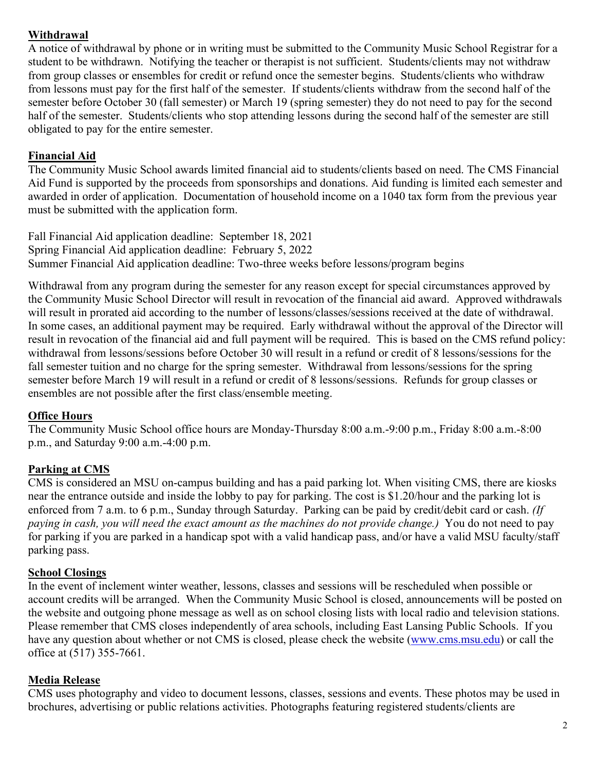### **Withdrawal**

A notice of withdrawal by phone or in writing must be submitted to the Community Music School Registrar for a student to be withdrawn. Notifying the teacher or therapist is not sufficient. Students/clients may not withdraw from group classes or ensembles for credit or refund once the semester begins. Students/clients who withdraw from lessons must pay for the first half of the semester. If students/clients withdraw from the second half of the semester before October 30 (fall semester) or March 19 (spring semester) they do not need to pay for the second half of the semester. Students/clients who stop attending lessons during the second half of the semester are still obligated to pay for the entire semester.

### **Financial Aid**

The Community Music School awards limited financial aid to students/clients based on need. The CMS Financial Aid Fund is supported by the proceeds from sponsorships and donations. Aid funding is limited each semester and awarded in order of application. Documentation of household income on a 1040 tax form from the previous year must be submitted with the application form.

Fall Financial Aid application deadline: September 18, 2021 Spring Financial Aid application deadline: February 5, 2022 Summer Financial Aid application deadline: Two-three weeks before lessons/program begins

Withdrawal from any program during the semester for any reason except for special circumstances approved by the Community Music School Director will result in revocation of the financial aid award. Approved withdrawals will result in prorated aid according to the number of lessons/classes/sessions received at the date of withdrawal. In some cases, an additional payment may be required. Early withdrawal without the approval of the Director will result in revocation of the financial aid and full payment will be required. This is based on the CMS refund policy: withdrawal from lessons/sessions before October 30 will result in a refund or credit of 8 lessons/sessions for the fall semester tuition and no charge for the spring semester. Withdrawal from lessons/sessions for the spring semester before March 19 will result in a refund or credit of 8 lessons/sessions. Refunds for group classes or ensembles are not possible after the first class/ensemble meeting.

### **Office Hours**

The Community Music School office hours are Monday-Thursday 8:00 a.m.-9:00 p.m., Friday 8:00 a.m.-8:00 p.m., and Saturday 9:00 a.m.-4:00 p.m.

## **Parking at CMS**

CMS is considered an MSU on-campus building and has a paid parking lot. When visiting CMS, there are kiosks near the entrance outside and inside the lobby to pay for parking. The cost is \$1.20/hour and the parking lot is enforced from 7 a.m. to 6 p.m., Sunday through Saturday. Parking can be paid by credit/debit card or cash. *(If paying in cash, you will need the exact amount as the machines do not provide change.)* You do not need to pay for parking if you are parked in a handicap spot with a valid handicap pass, and/or have a valid MSU faculty/staff parking pass.

## **School Closings**

In the event of inclement winter weather, lessons, classes and sessions will be rescheduled when possible or account credits will be arranged. When the Community Music School is closed, announcements will be posted on the website and outgoing phone message as well as on school closing lists with local radio and television stations. Please remember that CMS closes independently of area schools, including East Lansing Public Schools. If you have any question about whether or not CMS is closed, please check the website [\(www.cms.msu.edu\)](http://www.cms.msu.edu/) or call the office at (517) 355-7661.

## **Media Release**

CMS uses photography and video to document lessons, classes, sessions and events. These photos may be used in brochures, advertising or public relations activities. Photographs featuring registered students/clients are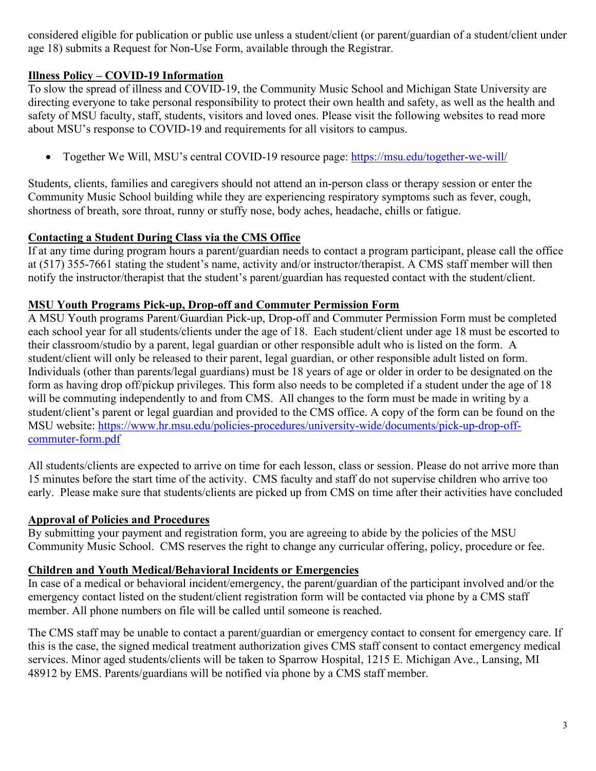considered eligible for publication or public use unless a student/client (or parent/guardian of a student/client under age 18) submits a Request for Non-Use Form, available through the Registrar.

### **Illness Policy – COVID-19 Information**

To slow the spread of illness and COVID-19, the Community Music School and Michigan State University are directing everyone to take personal responsibility to protect their own health and safety, as well as the health and safety of MSU faculty, staff, students, visitors and loved ones. Please visit the following websites to read more about MSU's response to COVID-19 and requirements for all visitors to campus.

• Together We Will, MSU's central COVID-19 resource page:<https://msu.edu/together-we-will/>

Students, clients, families and caregivers should not attend an in-person class or therapy session or enter the Community Music School building while they are experiencing respiratory symptoms such as fever, cough, shortness of breath, sore throat, runny or stuffy nose, body aches, headache, chills or fatigue.

### **Contacting a Student During Class via the CMS Office**

If at any time during program hours a parent/guardian needs to contact a program participant, please call the office at (517) 355-7661 stating the student's name, activity and/or instructor/therapist. A CMS staff member will then notify the instructor/therapist that the student's parent/guardian has requested contact with the student/client.

#### **MSU Youth Programs Pick-up, Drop-off and Commuter Permission Form**

A MSU Youth programs Parent/Guardian Pick-up, Drop-off and Commuter Permission Form must be completed each school year for all students/clients under the age of 18. Each student/client under age 18 must be escorted to their classroom/studio by a parent, legal guardian or other responsible adult who is listed on the form. A student/client will only be released to their parent, legal guardian, or other responsible adult listed on form. Individuals (other than parents/legal guardians) must be 18 years of age or older in order to be designated on the form as having drop off/pickup privileges. This form also needs to be completed if a student under the age of 18 will be commuting independently to and from CMS. All changes to the form must be made in writing by a student/client's parent or legal guardian and provided to the CMS office. A copy of the form can be found on the MSU website: [https://www.hr.msu.edu/policies-procedures/university-wide/documents/pick-up-drop-off](https://www.hr.msu.edu/policies-procedures/university-wide/documents/pick-up-drop-off-commuter-form.pdf)[commuter-form.pdf](https://www.hr.msu.edu/policies-procedures/university-wide/documents/pick-up-drop-off-commuter-form.pdf) 

All students/clients are expected to arrive on time for each lesson, class or session. Please do not arrive more than 15 minutes before the start time of the activity. CMS faculty and staff do not supervise children who arrive too early. Please make sure that students/clients are picked up from CMS on time after their activities have concluded

#### **Approval of Policies and Procedures**

By submitting your payment and registration form, you are agreeing to abide by the policies of the MSU Community Music School. CMS reserves the right to change any curricular offering, policy, procedure or fee.

### **Children and Youth Medical/Behavioral Incidents or Emergencies**

In case of a medical or behavioral incident/emergency, the parent/guardian of the participant involved and/or the emergency contact listed on the student/client registration form will be contacted via phone by a CMS staff member. All phone numbers on file will be called until someone is reached.

The CMS staff may be unable to contact a parent/guardian or emergency contact to consent for emergency care. If this is the case, the signed medical treatment authorization gives CMS staff consent to contact emergency medical services. Minor aged students/clients will be taken to Sparrow Hospital, 1215 E. Michigan Ave., Lansing, MI 48912 by EMS. Parents/guardians will be notified via phone by a CMS staff member.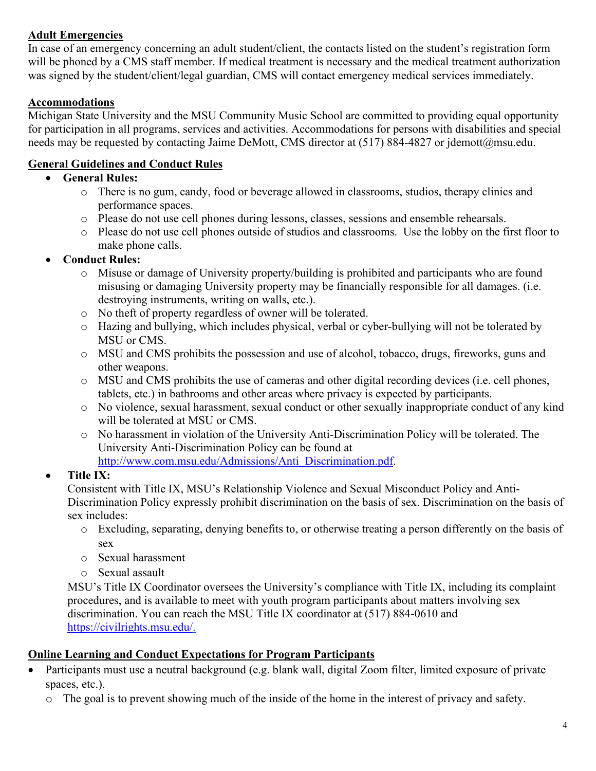### **Adult Emergencies**

In case of an emergency concerning an adult student/client, the contacts listed on the student's registration form will be phoned by a CMS staff member. If medical treatment is necessary and the medical treatment authorization was signed by the student/client/legal guardian, CMS will contact emergency medical services immediately.

### **Accommodations**

Michigan State University and the MSU Community Music School are committed to providing equal opportunity for participation in all programs, services and activities. Accommodations for persons with disabilities and special needs may be requested by contacting Jaime DeMott, CMS director at (517) 884-4827 or jdemott@msu.edu.

## **General Guidelines and Conduct Rules**

### • **General Rules:**

- o There is no gum, candy, food or beverage allowed in classrooms, studios, therapy clinics and performance spaces.
- o Please do not use cell phones during lessons, classes, sessions and ensemble rehearsals.
- o Please do not use cell phones outside of studios and classrooms. Use the lobby on the first floor to make phone calls.

## • **Conduct Rules:**

- o Misuse or damage of University property/building is prohibited and participants who are found misusing or damaging University property may be financially responsible for all damages. (i.e. destroying instruments, writing on walls, etc.).
- o No theft of property regardless of owner will be tolerated.
- o Hazing and bullying, which includes physical, verbal or cyber-bullying will not be tolerated by MSU or CMS.
- o MSU and CMS prohibits the possession and use of alcohol, tobacco, drugs, fireworks, guns and other weapons.
- o MSU and CMS prohibits the use of cameras and other digital recording devices (i.e. cell phones, tablets, etc.) in bathrooms and other areas where privacy is expected by participants.
- o No violence, sexual harassment, sexual conduct or other sexually inappropriate conduct of any kind will be tolerated at MSU or CMS.
- o No harassment in violation of the University Anti-Discrimination Policy will be tolerated. The University Anti-Discrimination Policy can be found at [http://www.com.msu.edu/Admissions/Anti\\_Discrimination.pdf.](http://www.com.msu.edu/Admissions/Anti_Discrimination.pdf)

## • **Title IX:**

Consistent with Title IX, MSU's Relationship Violence and Sexual Misconduct Policy and Anti-Discrimination Policy expressly prohibit discrimination on the basis of sex. Discrimination on the basis of sex includes:

- o Excluding, separating, denying benefits to, or otherwise treating a person differently on the basis of sex
- o Sexual harassment
- o Sexual assault

MSU's Title IX Coordinator oversees the University's compliance with Title IX, including its complaint procedures, and is available to meet with youth program participants about matters involving sex discrimination. You can reach the MSU Title IX coordinator at (517) 884-0610 and [https://civilrights.msu.edu/.](https://civilrights.msu.edu/)

## **Online Learning and Conduct Expectations for Program Participants**

- Participants must use a neutral background (e.g. blank wall, digital Zoom filter, limited exposure of private spaces, etc.).
	- o The goal is to prevent showing much of the inside of the home in the interest of privacy and safety.